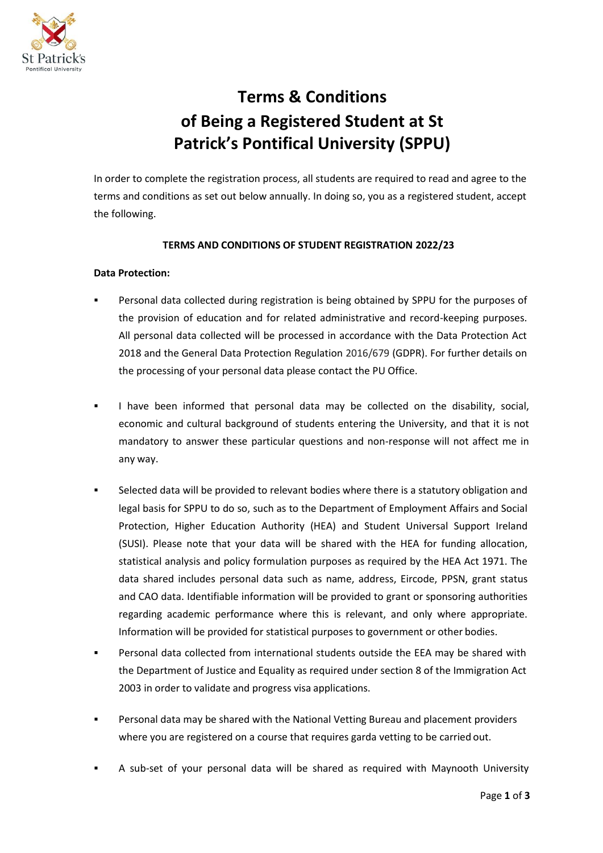

# **Terms & Conditions of Being a Registered Student at St Patrick's Pontifical University (SPPU)**

In order to complete the registration process, all students are required to read and agree to the terms and conditions as set out below annually. In doing so, you as a registered student, accept the following.

# **TERMS AND CONDITIONS OF STUDENT REGISTRATION 2022/23**

### **Data Protection:**

- Personal data collected during registration is being obtained by SPPU for the purposes of the provision of education and for related administrative and record-keeping purposes. All personal data collected will be processed in accordance with the Data Protection Act 2018 and the General Data Protection Regulation 2016/679 (GDPR). For further details on the processing of your personal data please contact the PU Office.
- I have been informed that personal data may be collected on the disability, social, economic and cultural background of students entering the University, and that it is not mandatory to answer these particular questions and non-response will not affect me in any way.
- Selected data will be provided to relevant bodies where there is a statutory obligation and legal basis for SPPU to do so, such as to the Department of Employment Affairs and Social Protection, Higher Education Authority (HEA) and Student Universal Support Ireland (SUSI). Please note that your data will be shared with the HEA for funding allocation, statistical analysis and policy formulation purposes as required by the HEA Act 1971. The data shared includes personal data such as name, address, Eircode, PPSN, grant status and CAO data. Identifiable information will be provided to grant or sponsoring authorities regarding academic performance where this is relevant, and only where appropriate. Information will be provided for statistical purposes to government or other bodies.
- Personal data collected from international students outside the EEA may be shared with the Department of Justice and Equality as required under section 8 of the Immigration Act 2003 in order to validate and progress visa applications.
- Personal data may be shared with the National Vetting Bureau and placement providers where you are registered on a course that requires garda vetting to be carried out.
- A sub-set of your personal data will be shared as required with Maynooth University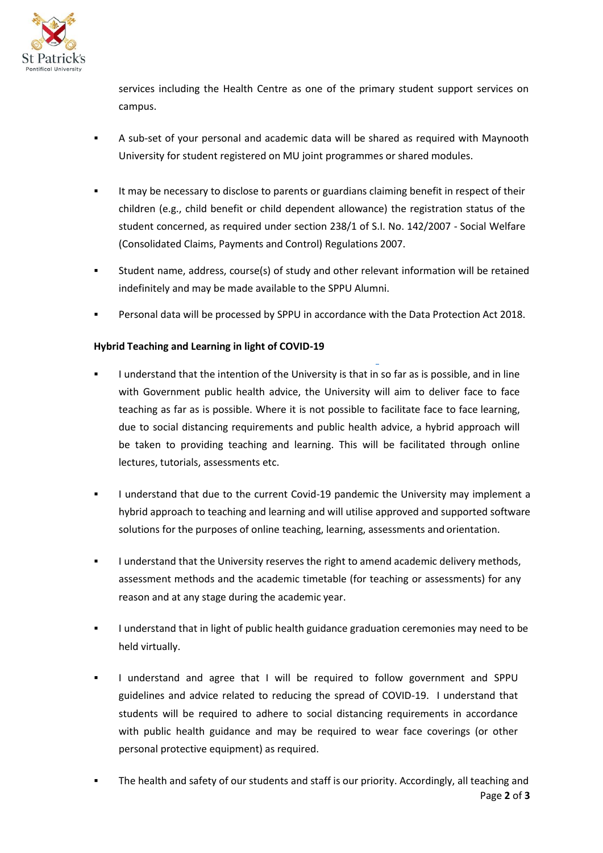

services including the Health Centre as one of the primary student support services on campus.

- A sub-set of your personal and academic data will be shared as required with Maynooth University for student registered on MU joint programmes or shared modules.
- It may be necessary to disclose to parents or guardians claiming benefit in respect of their children (e.g., child benefit or child dependent allowance) the registration status of the student concerned, as required under section 238/1 of S.I. No. 142/2007 - Social Welfare (Consolidated Claims, Payments and Control) Regulations 2007.
- Student name, address, course(s) of study and other relevant information will be retained indefinitely and may be made available to the SPPU Alumni.
- Personal data will be processed by SPPU in accordance with the Data Protection Act 2018.

# **Hybrid Teaching and Learning in light of COVID-19**

- I understand that the intention of the University is that in so far as is possible, and in line with Government public health advice, the University will aim to deliver face to face teaching as far as is possible. Where it is not possible to facilitate face to face learning, due to social distancing requirements and public health advice, a hybrid approach will be taken to providing teaching and learning. This will be facilitated through online lectures, tutorials, assessments etc.
- I understand that due to the current Covid-19 pandemic the University may implement a hybrid approach to teaching and learning and will utilise approved and supported software solutions for the purposes of online teaching, learning, assessments and orientation.
- I understand that the University reserves the right to amend academic delivery methods, assessment methods and the academic timetable (for teaching or assessments) for any reason and at any stage during the academic year.
- I understand that in light of public health guidance graduation ceremonies may need to be held virtually.
- I understand and agree that I will be required to follow government and SPPU guidelines and advice related to reducing the spread of COVID-19. I understand that students will be required to adhere to social distancing requirements in accordance with public health guidance and may be required to wear face coverings (or other personal protective equipment) as required.
- Page **2** of **3** The health and safety of our students and staff is our priority. Accordingly, all teaching and